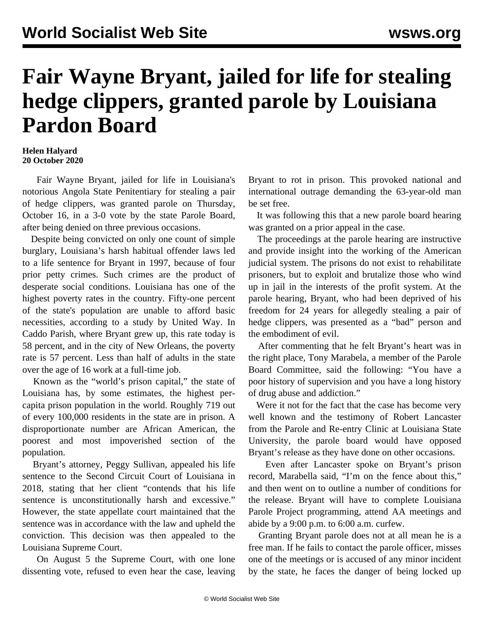## **Fair Wayne Bryant, jailed for life for stealing hedge clippers, granted parole by Louisiana Pardon Board**

## **Helen Halyard 20 October 2020**

 Fair Wayne Bryant, jailed for life in Louisiana's notorious Angola State Penitentiary for stealing a pair of hedge clippers, was granted parole on Thursday, October 16, in a 3-0 vote by the state Parole Board, after being denied on three previous occasions.

 Despite being convicted on only one count of simple burglary, Louisiana's harsh habitual offender laws led to a life sentence for Bryant in 1997, because of four prior petty crimes. Such crimes are the product of desperate social conditions. Louisiana has one of the highest poverty rates in the country. Fifty-one percent of the state's population are unable to afford basic necessities, according to a study by United Way. In Caddo Parish, where Bryant grew up, this rate today is 58 percent, and in the city of New Orleans, the poverty rate is 57 percent. Less than half of adults in the state over the age of 16 work at a full-time job.

 Known as the "world's prison capital," the state of Louisiana has, by some estimates, the highest percapita prison population in the world. Roughly 719 out of every 100,000 residents in the state are in prison. A disproportionate number are African American, the poorest and most impoverished section of the population.

 Bryant's attorney, Peggy Sullivan, appealed his life sentence to the Second Circuit Court of Louisiana in 2018, stating that her client "contends that his life sentence is unconstitutionally harsh and excessive." However, the state appellate court maintained that the sentence was in accordance with the law and upheld the conviction. This decision was then appealed to the Louisiana Supreme Court.

 On August 5 the Supreme Court, with one lone dissenting vote, refused to even hear the case, leaving Bryant to rot in prison. This provoked [national and](/en/articles/2020/08/11/loui-a11.html) [international outrage](/en/articles/2020/08/11/loui-a11.html) demanding the 63-year-old man be set free.

 It was following this that a new parole board hearing was granted on a prior appeal in the case.

 The proceedings at the parole hearing are instructive and provide insight into the working of the American judicial system. The prisons do not exist to rehabilitate prisoners, but to exploit and brutalize those who wind up in jail in the interests of the profit system. At the parole hearing, Bryant, who had been deprived of his freedom for 24 years for allegedly stealing a pair of hedge clippers, was presented as a "bad" person and the embodiment of evil.

 After commenting that he felt Bryant's heart was in the right place, Tony Marabela, a member of the Parole Board Committee, said the following: "You have a poor history of supervision and you have a long history of drug abuse and addiction."

 Were it not for the fact that the case has become very well known and the testimony of Robert Lancaster from the Parole and Re-entry Clinic at Louisiana State University, the parole board would have opposed Bryant's release as they have done on other occasions.

 Even after Lancaster spoke on Bryant's prison record, Marabella said, "I'm on the fence about this," and then went on to outline a number of conditions for the release. Bryant will have to complete Louisiana Parole Project programming, attend AA meetings and abide by a 9:00 p.m. to 6:00 a.m. curfew.

 Granting Bryant parole does not at all mean he is a free man. If he fails to contact the parole officer, misses one of the meetings or is accused of any minor incident by the state, he faces the danger of being locked up